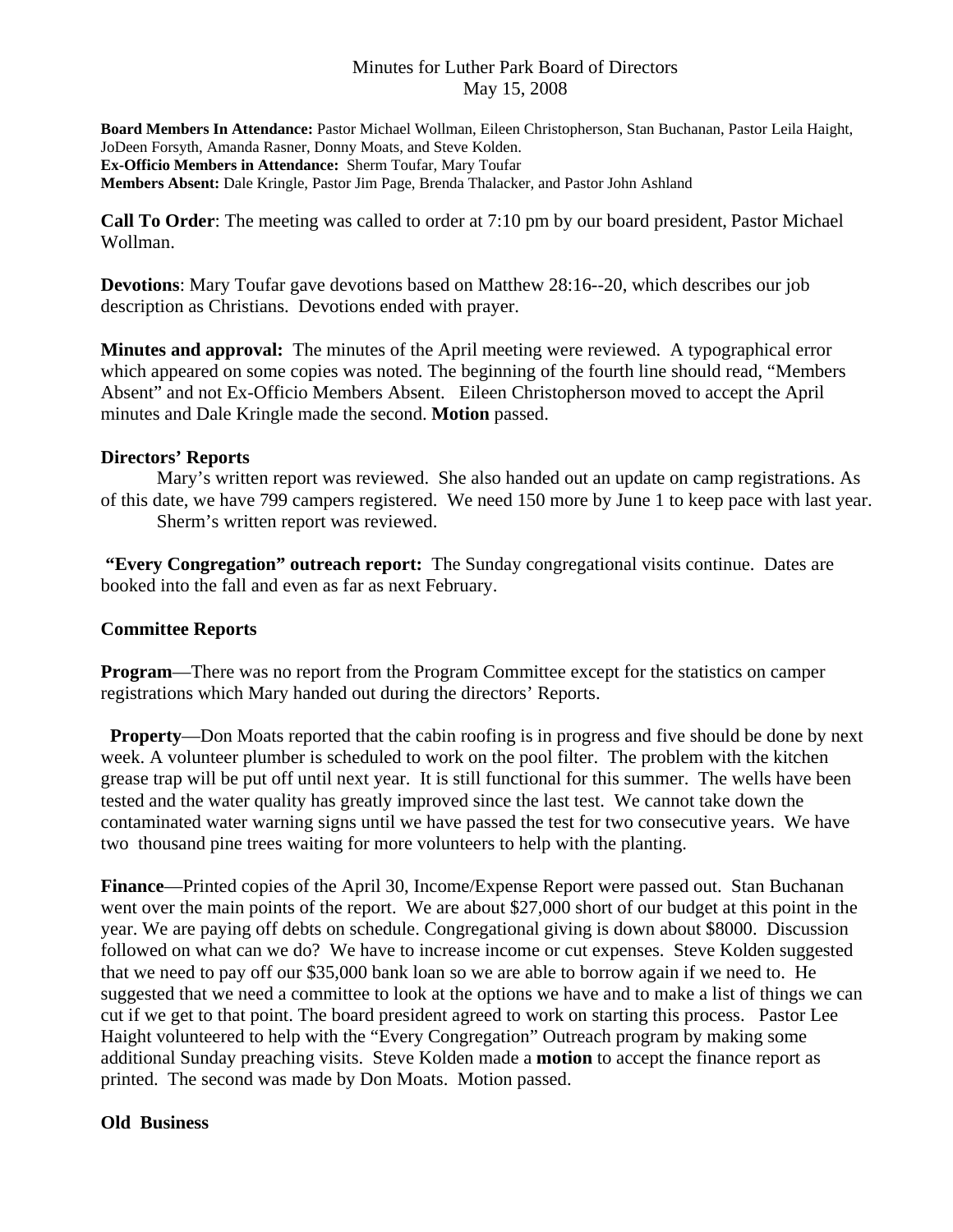### Minutes for Luther Park Board of Directors May 15, 2008

**Board Members In Attendance:** Pastor Michael Wollman, Eileen Christopherson, Stan Buchanan, Pastor Leila Haight, JoDeen Forsyth, Amanda Rasner, Donny Moats, and Steve Kolden. **Ex-Officio Members in Attendance:** Sherm Toufar, Mary Toufar **Members Absent:** Dale Kringle, Pastor Jim Page, Brenda Thalacker, and Pastor John Ashland

**Call To Order**: The meeting was called to order at 7:10 pm by our board president, Pastor Michael Wollman.

**Devotions**: Mary Toufar gave devotions based on Matthew 28:16--20, which describes our job description as Christians. Devotions ended with prayer.

**Minutes and approval:** The minutes of the April meeting were reviewed. A typographical error which appeared on some copies was noted. The beginning of the fourth line should read, "Members Absent" and not Ex-Officio Members Absent. Eileen Christopherson moved to accept the April minutes and Dale Kringle made the second. **Motion** passed.

## **Directors' Reports**

Mary's written report was reviewed. She also handed out an update on camp registrations. As of this date, we have 799 campers registered. We need 150 more by June 1 to keep pace with last year. Sherm's written report was reviewed.

**"Every Congregation" outreach report:** The Sunday congregational visits continue. Dates are booked into the fall and even as far as next February.

### **Committee Reports**

**Program**—There was no report from the Program Committee except for the statistics on camper registrations which Mary handed out during the directors' Reports.

 **Property**—Don Moats reported that the cabin roofing is in progress and five should be done by next week. A volunteer plumber is scheduled to work on the pool filter. The problem with the kitchen grease trap will be put off until next year. It is still functional for this summer. The wells have been tested and the water quality has greatly improved since the last test. We cannot take down the contaminated water warning signs until we have passed the test for two consecutive years. We have two thousand pine trees waiting for more volunteers to help with the planting.

**Finance**—Printed copies of the April 30, Income/Expense Report were passed out. Stan Buchanan went over the main points of the report. We are about \$27,000 short of our budget at this point in the year. We are paying off debts on schedule. Congregational giving is down about \$8000. Discussion followed on what can we do? We have to increase income or cut expenses. Steve Kolden suggested that we need to pay off our \$35,000 bank loan so we are able to borrow again if we need to. He suggested that we need a committee to look at the options we have and to make a list of things we can cut if we get to that point. The board president agreed to work on starting this process. Pastor Lee Haight volunteered to help with the "Every Congregation" Outreach program by making some additional Sunday preaching visits. Steve Kolden made a **motion** to accept the finance report as printed. The second was made by Don Moats. Motion passed.

# **Old Business**